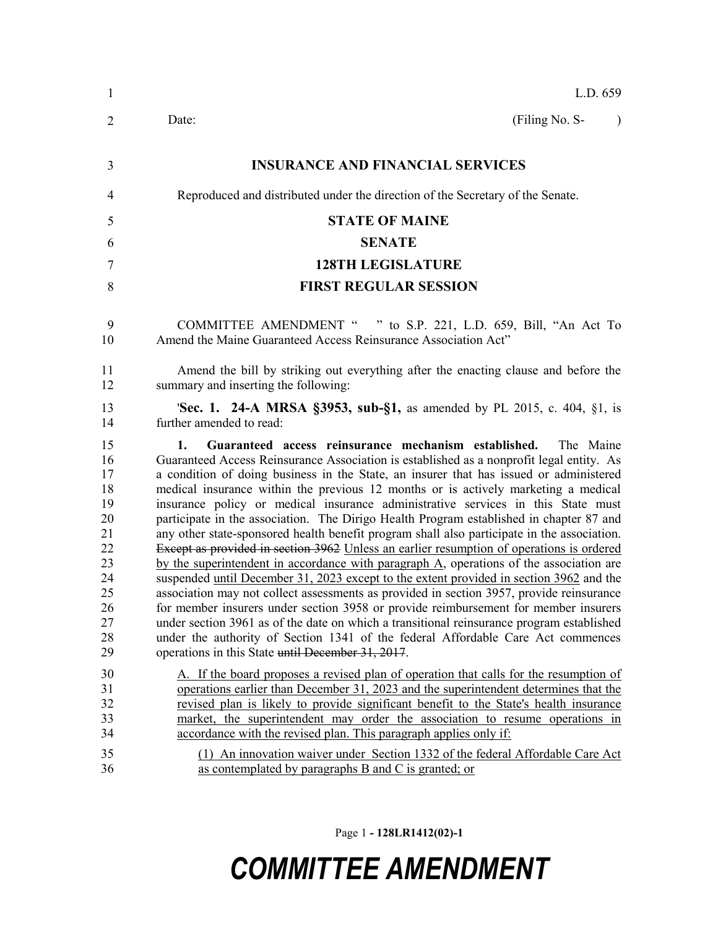| $\mathbf{1}$                                                                           | L.D. 659                                                                                                                                                                                                                                                                                                                                                                                                                                                                                                                                                                                                                                                                                                                                                                                                                                                                                                                                                                                                                                                                                                                                                                                                                                                                                                                                            |
|----------------------------------------------------------------------------------------|-----------------------------------------------------------------------------------------------------------------------------------------------------------------------------------------------------------------------------------------------------------------------------------------------------------------------------------------------------------------------------------------------------------------------------------------------------------------------------------------------------------------------------------------------------------------------------------------------------------------------------------------------------------------------------------------------------------------------------------------------------------------------------------------------------------------------------------------------------------------------------------------------------------------------------------------------------------------------------------------------------------------------------------------------------------------------------------------------------------------------------------------------------------------------------------------------------------------------------------------------------------------------------------------------------------------------------------------------------|
| $\overline{2}$                                                                         | (Filing No. S-<br>Date:<br>$\lambda$                                                                                                                                                                                                                                                                                                                                                                                                                                                                                                                                                                                                                                                                                                                                                                                                                                                                                                                                                                                                                                                                                                                                                                                                                                                                                                                |
| 3                                                                                      | <b>INSURANCE AND FINANCIAL SERVICES</b>                                                                                                                                                                                                                                                                                                                                                                                                                                                                                                                                                                                                                                                                                                                                                                                                                                                                                                                                                                                                                                                                                                                                                                                                                                                                                                             |
| 4                                                                                      | Reproduced and distributed under the direction of the Secretary of the Senate.                                                                                                                                                                                                                                                                                                                                                                                                                                                                                                                                                                                                                                                                                                                                                                                                                                                                                                                                                                                                                                                                                                                                                                                                                                                                      |
| 5                                                                                      | <b>STATE OF MAINE</b>                                                                                                                                                                                                                                                                                                                                                                                                                                                                                                                                                                                                                                                                                                                                                                                                                                                                                                                                                                                                                                                                                                                                                                                                                                                                                                                               |
| 6                                                                                      | <b>SENATE</b>                                                                                                                                                                                                                                                                                                                                                                                                                                                                                                                                                                                                                                                                                                                                                                                                                                                                                                                                                                                                                                                                                                                                                                                                                                                                                                                                       |
| 7                                                                                      | <b>128TH LEGISLATURE</b>                                                                                                                                                                                                                                                                                                                                                                                                                                                                                                                                                                                                                                                                                                                                                                                                                                                                                                                                                                                                                                                                                                                                                                                                                                                                                                                            |
| 8                                                                                      | <b>FIRST REGULAR SESSION</b>                                                                                                                                                                                                                                                                                                                                                                                                                                                                                                                                                                                                                                                                                                                                                                                                                                                                                                                                                                                                                                                                                                                                                                                                                                                                                                                        |
| 9<br>10                                                                                | COMMITTEE AMENDMENT " " to S.P. 221, L.D. 659, Bill, "An Act To<br>Amend the Maine Guaranteed Access Reinsurance Association Act"                                                                                                                                                                                                                                                                                                                                                                                                                                                                                                                                                                                                                                                                                                                                                                                                                                                                                                                                                                                                                                                                                                                                                                                                                   |
| 11<br>12                                                                               | Amend the bill by striking out everything after the enacting clause and before the<br>summary and inserting the following:                                                                                                                                                                                                                                                                                                                                                                                                                                                                                                                                                                                                                                                                                                                                                                                                                                                                                                                                                                                                                                                                                                                                                                                                                          |
| 13<br>14                                                                               | <b>Sec. 1. 24-A MRSA §3953, sub-§1, as amended by PL 2015, c. 404, §1, is</b><br>further amended to read:                                                                                                                                                                                                                                                                                                                                                                                                                                                                                                                                                                                                                                                                                                                                                                                                                                                                                                                                                                                                                                                                                                                                                                                                                                           |
| 15<br>16<br>17<br>18<br>19<br>20<br>21<br>22<br>23<br>24<br>25<br>26<br>27<br>28<br>29 | Guaranteed access reinsurance mechanism established.<br>1.<br>The Maine<br>Guaranteed Access Reinsurance Association is established as a nonprofit legal entity. As<br>a condition of doing business in the State, an insurer that has issued or administered<br>medical insurance within the previous 12 months or is actively marketing a medical<br>insurance policy or medical insurance administrative services in this State must<br>participate in the association. The Dirigo Health Program established in chapter 87 and<br>any other state-sponsored health benefit program shall also participate in the association.<br>Except as provided in section 3962 Unless an earlier resumption of operations is ordered<br>by the superintendent in accordance with paragraph A, operations of the association are<br>suspended <u>until December 31, 2023 except to the extent provided in section 3962</u> and the<br>association may not collect assessments as provided in section 3957, provide reinsurance<br>for member insurers under section 3958 or provide reimbursement for member insurers<br>under section 3961 as of the date on which a transitional reinsurance program established<br>under the authority of Section 1341 of the federal Affordable Care Act commences<br>operations in this State until December 31, 2017. |
| 30<br>31<br>32<br>33<br>34                                                             | A. If the board proposes a revised plan of operation that calls for the resumption of<br>operations earlier than December 31, 2023 and the superintendent determines that the<br>revised plan is likely to provide significant benefit to the State's health insurance<br>market, the superintendent may order the association to resume operations in<br>accordance with the revised plan. This paragraph applies only if:                                                                                                                                                                                                                                                                                                                                                                                                                                                                                                                                                                                                                                                                                                                                                                                                                                                                                                                         |
| 35<br>36                                                                               | (1) An innovation waiver under Section 1332 of the federal Affordable Care Act<br>as contemplated by paragraphs B and C is granted; or                                                                                                                                                                                                                                                                                                                                                                                                                                                                                                                                                                                                                                                                                                                                                                                                                                                                                                                                                                                                                                                                                                                                                                                                              |

Page 1 **- 128LR1412(02)-1**

## *COMMITTEE AMENDMENT*